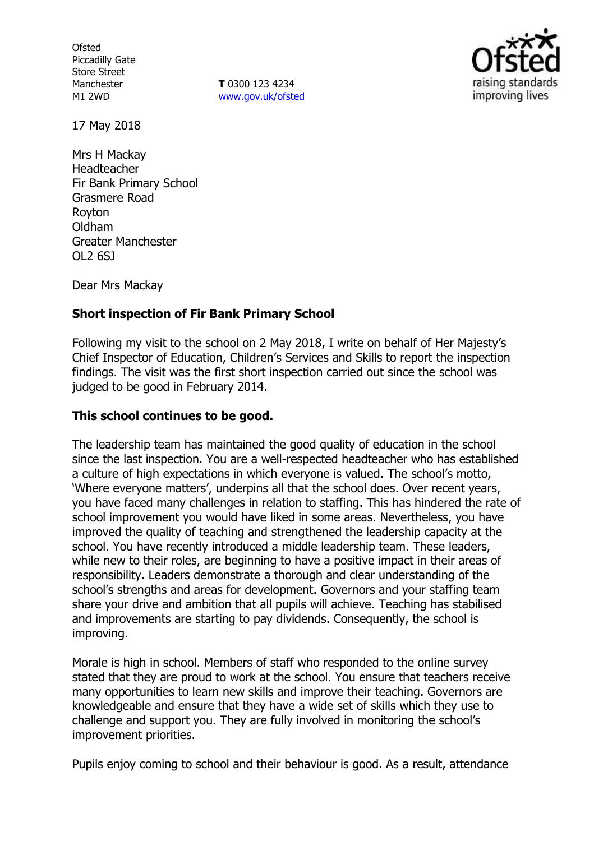**Ofsted** Piccadilly Gate Store Street Manchester M1 2WD

**T** 0300 123 4234 www.gov.uk/ofsted



17 May 2018

Mrs H Mackay Headteacher Fir Bank Primary School Grasmere Road Royton Oldham Greater Manchester OL2 6SJ

Dear Mrs Mackay

# **Short inspection of Fir Bank Primary School**

Following my visit to the school on 2 May 2018, I write on behalf of Her Majesty's Chief Inspector of Education, Children's Services and Skills to report the inspection findings. The visit was the first short inspection carried out since the school was judged to be good in February 2014.

## **This school continues to be good.**

The leadership team has maintained the good quality of education in the school since the last inspection. You are a well-respected headteacher who has established a culture of high expectations in which everyone is valued. The school's motto, 'Where everyone matters', underpins all that the school does. Over recent years, you have faced many challenges in relation to staffing. This has hindered the rate of school improvement you would have liked in some areas. Nevertheless, you have improved the quality of teaching and strengthened the leadership capacity at the school. You have recently introduced a middle leadership team. These leaders, while new to their roles, are beginning to have a positive impact in their areas of responsibility. Leaders demonstrate a thorough and clear understanding of the school's strengths and areas for development. Governors and your staffing team share your drive and ambition that all pupils will achieve. Teaching has stabilised and improvements are starting to pay dividends. Consequently, the school is improving.

Morale is high in school. Members of staff who responded to the online survey stated that they are proud to work at the school. You ensure that teachers receive many opportunities to learn new skills and improve their teaching. Governors are knowledgeable and ensure that they have a wide set of skills which they use to challenge and support you. They are fully involved in monitoring the school's improvement priorities.

Pupils enjoy coming to school and their behaviour is good. As a result, attendance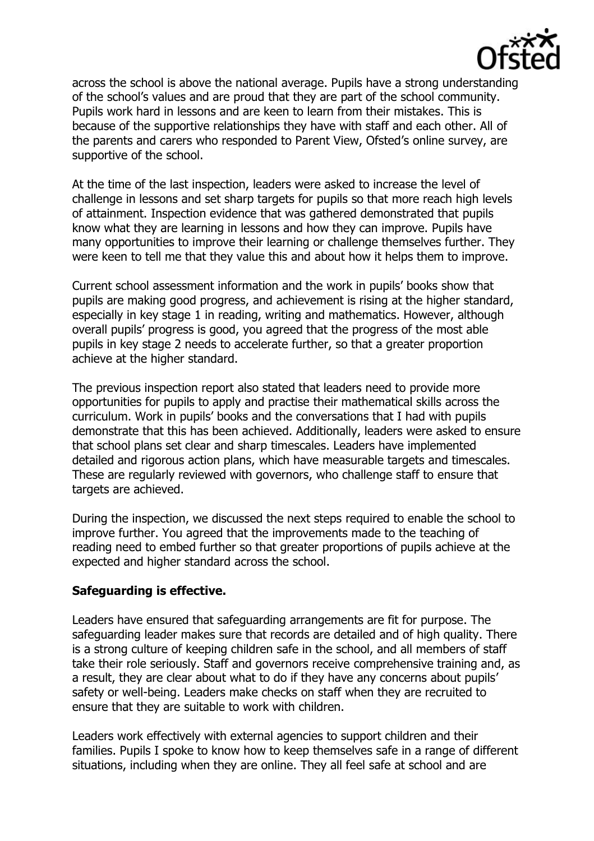

across the school is above the national average. Pupils have a strong understanding of the school's values and are proud that they are part of the school community. Pupils work hard in lessons and are keen to learn from their mistakes. This is because of the supportive relationships they have with staff and each other. All of the parents and carers who responded to Parent View, Ofsted's online survey, are supportive of the school.

At the time of the last inspection, leaders were asked to increase the level of challenge in lessons and set sharp targets for pupils so that more reach high levels of attainment. Inspection evidence that was gathered demonstrated that pupils know what they are learning in lessons and how they can improve. Pupils have many opportunities to improve their learning or challenge themselves further. They were keen to tell me that they value this and about how it helps them to improve.

Current school assessment information and the work in pupils' books show that pupils are making good progress, and achievement is rising at the higher standard, especially in key stage 1 in reading, writing and mathematics. However, although overall pupils' progress is good, you agreed that the progress of the most able pupils in key stage 2 needs to accelerate further, so that a greater proportion achieve at the higher standard.

The previous inspection report also stated that leaders need to provide more opportunities for pupils to apply and practise their mathematical skills across the curriculum. Work in pupils' books and the conversations that I had with pupils demonstrate that this has been achieved. Additionally, leaders were asked to ensure that school plans set clear and sharp timescales. Leaders have implemented detailed and rigorous action plans, which have measurable targets and timescales. These are regularly reviewed with governors, who challenge staff to ensure that targets are achieved.

During the inspection, we discussed the next steps required to enable the school to improve further. You agreed that the improvements made to the teaching of reading need to embed further so that greater proportions of pupils achieve at the expected and higher standard across the school.

## **Safeguarding is effective.**

Leaders have ensured that safeguarding arrangements are fit for purpose. The safeguarding leader makes sure that records are detailed and of high quality. There is a strong culture of keeping children safe in the school, and all members of staff take their role seriously. Staff and governors receive comprehensive training and, as a result, they are clear about what to do if they have any concerns about pupils' safety or well-being. Leaders make checks on staff when they are recruited to ensure that they are suitable to work with children.

Leaders work effectively with external agencies to support children and their families. Pupils I spoke to know how to keep themselves safe in a range of different situations, including when they are online. They all feel safe at school and are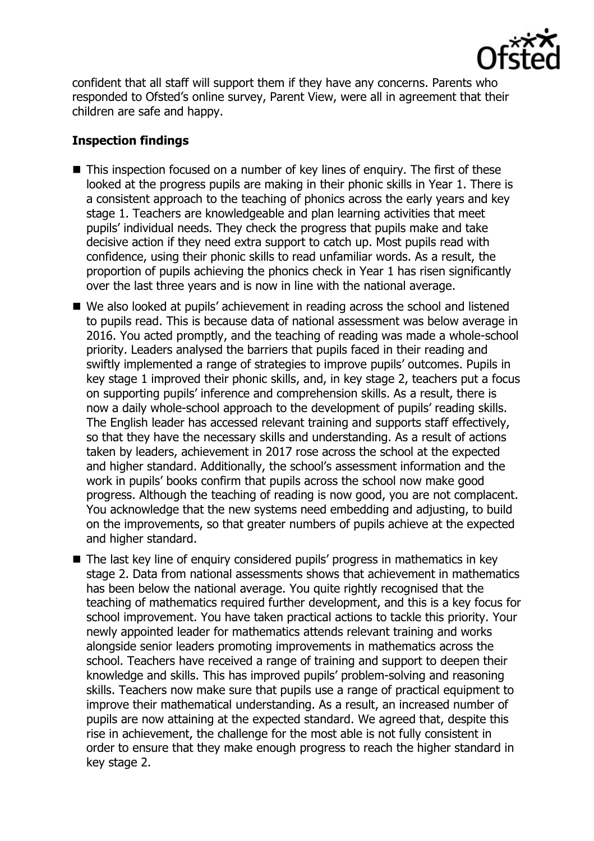

confident that all staff will support them if they have any concerns. Parents who responded to Ofsted's online survey, Parent View, were all in agreement that their children are safe and happy.

# **Inspection findings**

- This inspection focused on a number of key lines of enquiry. The first of these looked at the progress pupils are making in their phonic skills in Year 1. There is a consistent approach to the teaching of phonics across the early years and key stage 1. Teachers are knowledgeable and plan learning activities that meet pupils' individual needs. They check the progress that pupils make and take decisive action if they need extra support to catch up. Most pupils read with confidence, using their phonic skills to read unfamiliar words. As a result, the proportion of pupils achieving the phonics check in Year 1 has risen significantly over the last three years and is now in line with the national average.
- We also looked at pupils' achievement in reading across the school and listened to pupils read. This is because data of national assessment was below average in 2016. You acted promptly, and the teaching of reading was made a whole-school priority. Leaders analysed the barriers that pupils faced in their reading and swiftly implemented a range of strategies to improve pupils' outcomes. Pupils in key stage 1 improved their phonic skills, and, in key stage 2, teachers put a focus on supporting pupils' inference and comprehension skills. As a result, there is now a daily whole-school approach to the development of pupils' reading skills. The English leader has accessed relevant training and supports staff effectively, so that they have the necessary skills and understanding. As a result of actions taken by leaders, achievement in 2017 rose across the school at the expected and higher standard. Additionally, the school's assessment information and the work in pupils' books confirm that pupils across the school now make good progress. Although the teaching of reading is now good, you are not complacent. You acknowledge that the new systems need embedding and adjusting, to build on the improvements, so that greater numbers of pupils achieve at the expected and higher standard.
- The last key line of enquiry considered pupils' progress in mathematics in key stage 2. Data from national assessments shows that achievement in mathematics has been below the national average. You quite rightly recognised that the teaching of mathematics required further development, and this is a key focus for school improvement. You have taken practical actions to tackle this priority. Your newly appointed leader for mathematics attends relevant training and works alongside senior leaders promoting improvements in mathematics across the school. Teachers have received a range of training and support to deepen their knowledge and skills. This has improved pupils' problem-solving and reasoning skills. Teachers now make sure that pupils use a range of practical equipment to improve their mathematical understanding. As a result, an increased number of pupils are now attaining at the expected standard. We agreed that, despite this rise in achievement, the challenge for the most able is not fully consistent in order to ensure that they make enough progress to reach the higher standard in key stage 2.